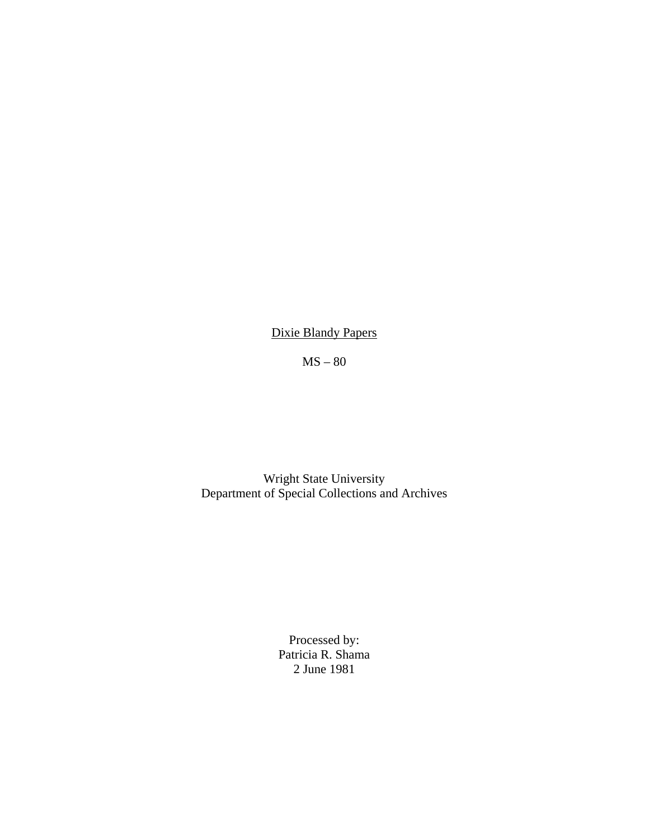Dixie Blandy Papers

MS – 80

Wright State University Department of Special Collections and Archives

> Processed by: Patricia R. Shama 2 June 1981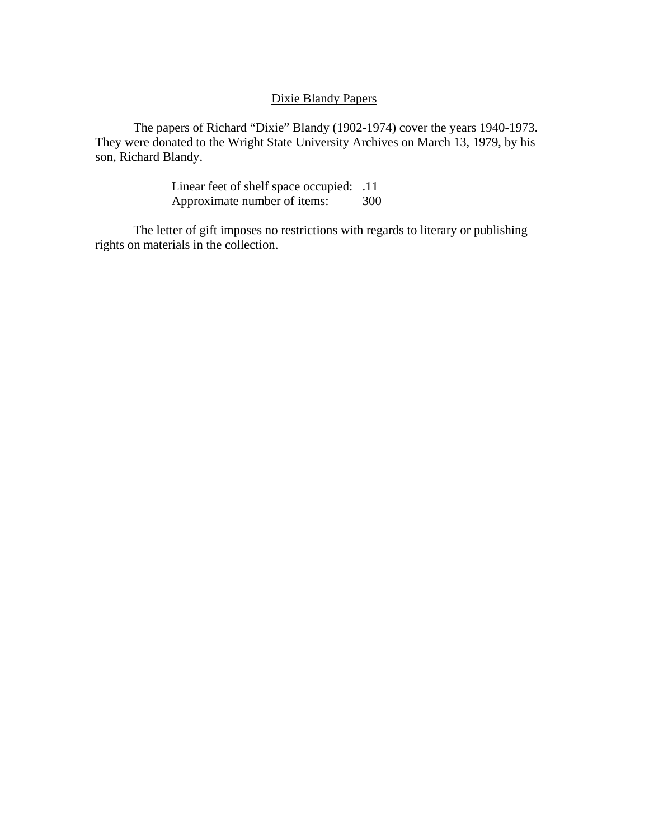## Dixie Blandy Papers

 The papers of Richard "Dixie" Blandy (1902-1974) cover the years 1940-1973. They were donated to the Wright State University Archives on March 13, 1979, by his son, Richard Blandy.

> Linear feet of shelf space occupied: .11 Approximate number of items: 300

 The letter of gift imposes no restrictions with regards to literary or publishing rights on materials in the collection.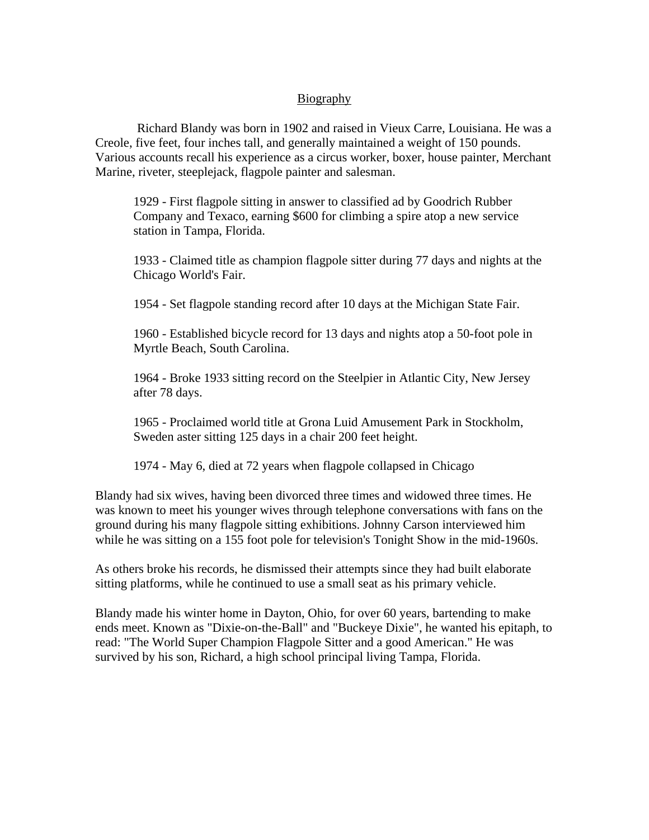## Biography

 Richard Blandy was born in 1902 and raised in Vieux Carre, Louisiana. He was a Creole, five feet, four inches tall, and generally maintained a weight of 150 pounds. Various accounts recall his experience as a circus worker, boxer, house painter, Merchant Marine, riveter, steeplejack, flagpole painter and salesman.

1929 - First flagpole sitting in answer to classified ad by Goodrich Rubber Company and Texaco, earning \$600 for climbing a spire atop a new service station in Tampa, Florida.

1933 - Claimed title as champion flagpole sitter during 77 days and nights at the Chicago World's Fair.

1954 - Set flagpole standing record after 10 days at the Michigan State Fair.

1960 - Established bicycle record for 13 days and nights atop a 50-foot pole in Myrtle Beach, South Carolina.

1964 - Broke 1933 sitting record on the Steelpier in Atlantic City, New Jersey after 78 days.

1965 - Proclaimed world title at Grona Luid Amusement Park in Stockholm, Sweden aster sitting 125 days in a chair 200 feet height.

1974 - May 6, died at 72 years when flagpole collapsed in Chicago

Blandy had six wives, having been divorced three times and widowed three times. He was known to meet his younger wives through telephone conversations with fans on the ground during his many flagpole sitting exhibitions. Johnny Carson interviewed him while he was sitting on a 155 foot pole for television's Tonight Show in the mid-1960s.

As others broke his records, he dismissed their attempts since they had built elaborate sitting platforms, while he continued to use a small seat as his primary vehicle.

Blandy made his winter home in Dayton, Ohio, for over 60 years, bartending to make ends meet. Known as "Dixie-on-the-Ball" and "Buckeye Dixie", he wanted his epitaph, to read: "The World Super Champion Flagpole Sitter and a good American." He was survived by his son, Richard, a high school principal living Tampa, Florida.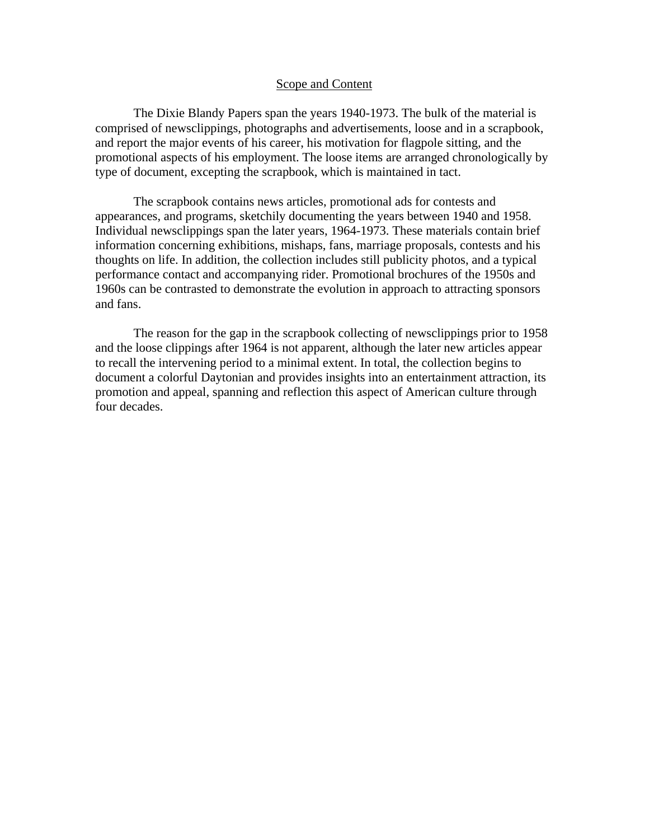## Scope and Content

 The Dixie Blandy Papers span the years 1940-1973. The bulk of the material is comprised of newsclippings, photographs and advertisements, loose and in a scrapbook, and report the major events of his career, his motivation for flagpole sitting, and the promotional aspects of his employment. The loose items are arranged chronologically by type of document, excepting the scrapbook, which is maintained in tact.

The scrapbook contains news articles, promotional ads for contests and appearances, and programs, sketchily documenting the years between 1940 and 1958. Individual newsclippings span the later years, 1964-1973. These materials contain brief information concerning exhibitions, mishaps, fans, marriage proposals, contests and his thoughts on life. In addition, the collection includes still publicity photos, and a typical performance contact and accompanying rider. Promotional brochures of the 1950s and 1960s can be contrasted to demonstrate the evolution in approach to attracting sponsors and fans.

The reason for the gap in the scrapbook collecting of newsclippings prior to 1958 and the loose clippings after 1964 is not apparent, although the later new articles appear to recall the intervening period to a minimal extent. In total, the collection begins to document a colorful Daytonian and provides insights into an entertainment attraction, its promotion and appeal, spanning and reflection this aspect of American culture through four decades.